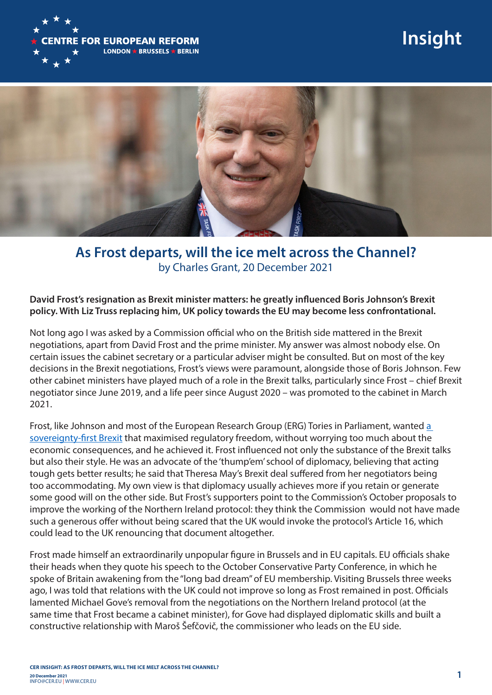

# **Insight**



## **As Frost departs, will the ice melt across the Channel?** by Charles Grant, 20 December 2021

#### **David Frost's resignation as Brexit minister matters: he greatly influenced Boris Johnson's Brexit policy. With Liz Truss replacing him, UK policy towards the EU may become less confrontational.**

Not long ago I was asked by a Commission official who on the British side mattered in the Brexit negotiations, apart from David Frost and the prime minister. My answer was almost nobody else. On certain issues the cabinet secretary or a particular adviser might be consulted. But on most of the key decisions in the Brexit negotiations, Frost's views were paramount, alongside those of Boris Johnson. Few other cabinet ministers have played much of a role in the Brexit talks, particularly since Frost – chief Brexit negotiator since June 2019, and a life peer since August 2020 – was promoted to the cabinet in March 2021.

Frost, like Johnson and most of the European Research Group (ERG) Tories in Parliament, wanted a sovereignty-first Brexit that maximised regulatory freedom, without worrying too much about the economic consequences, and he achieved it. Frost influenced not only the substance of the Brexit talks but also their style. He was an advocate of the 'thump'em' school of diplomacy, believing that acting tough gets better results; he said that Theresa May's Brexit deal suffered from her negotiators being too accommodating. My own view is that diplomacy usually achieves more if you retain or generate some good will on the other side. But Frost's supporters point to the Commission's October proposals to improve the working of the Northern Ireland protocol: they think the Commission would not have made such a generous offer without being scared that the UK would invoke the protocol's Article 16, which could lead to the UK renouncing that document altogether.

Frost made himself an extraordinarily unpopular figure in Brussels and in EU capitals. EU officials shake their heads when they quote his speech to the October Conservative Party Conference, in which he spoke of Britain awakening from the "long bad dream" of EU membership. Visiting Brussels three weeks ago, I was told that relations with the UK could not improve so long as Frost remained in post. Officials lamented Michael Gove's removal from the negotiations on the Northern Ireland protocol (at the same time that Frost became a cabinet minister), for Gove had displayed diplomatic skills and built a constructive relationship with Maroš Šefčovič, the commissioner who leads on the EU side.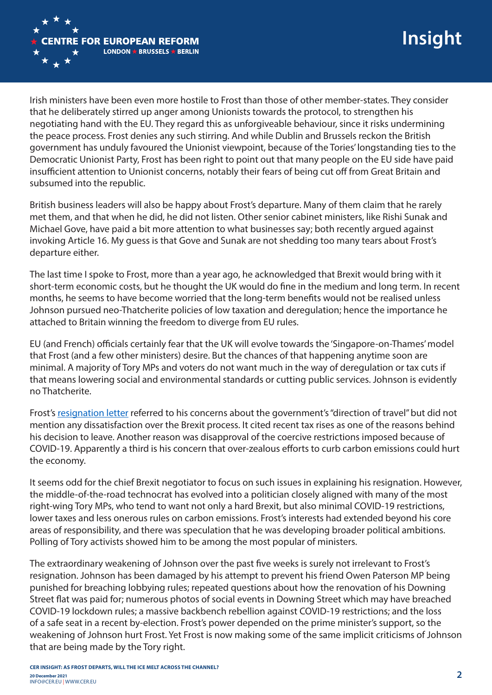

Irish ministers have been even more hostile to Frost than those of other member-states. They consider that he deliberately stirred up anger among Unionists towards the protocol, to strengthen his negotiating hand with the EU. They regard this as unforgiveable behaviour, since it risks undermining the peace process. Frost denies any such stirring. And while Dublin and Brussels reckon the British government has unduly favoured the Unionist viewpoint, because of the Tories' longstanding ties to the Democratic Unionist Party, Frost has been right to point out that many people on the EU side have paid insufficient attention to Unionist concerns, notably their fears of being cut off from Great Britain and subsumed into the republic.

British business leaders will also be happy about Frost's departure. Many of them claim that he rarely met them, and that when he did, he did not listen. Other senior cabinet ministers, like Rishi Sunak and Michael Gove, have paid a bit more attention to what businesses say; both recently argued against invoking Article 16. My guess is that Gove and Sunak are not shedding too many tears about Frost's departure either.

The last time I spoke to Frost, more than a year ago, he acknowledged that Brexit would bring with it short-term economic costs, but he thought the UK would do fine in the medium and long term. In recent months, he seems to have become worried that the long-term benefits would not be realised unless Johnson pursued neo-Thatcherite policies of low taxation and deregulation; hence the importance he attached to Britain winning the freedom to diverge from EU rules.

EU (and French) officials certainly fear that the UK will evolve towards the 'Singapore-on-Thames' model that Frost (and a few other ministers) desire. But the chances of that happening anytime soon are minimal. A majority of Tory MPs and voters do not want much in the way of deregulation or tax cuts if that means lowering social and environmental standards or cutting public services. Johnson is evidently no Thatcherite.

Frost's resignation letter referred to his concerns about the government's "direction of travel" but did not mention any dissatisfaction over the Brexit process. It cited recent tax rises as one of the reasons behind his decision to leave. Another reason was disapproval of the coercive restrictions imposed because of COVID-19. Apparently a third is his concern that over-zealous efforts to curb carbon emissions could hurt the economy.

It seems odd for the chief Brexit negotiator to focus on such issues in explaining his resignation. However, the middle-of-the-road technocrat has evolved into a politician closely aligned with many of the most right-wing Tory MPs, who tend to want not only a hard Brexit, but also minimal COVID-19 restrictions, lower taxes and less onerous rules on carbon emissions. Frost's interests had extended beyond his core areas of responsibility, and there was speculation that he was developing broader political ambitions. Polling of Tory activists showed him to be among the most popular of ministers.

The extraordinary weakening of Johnson over the past five weeks is surely not irrelevant to Frost's resignation. Johnson has been damaged by his attempt to prevent his friend Owen Paterson MP being punished for breaching lobbying rules; repeated questions about how the renovation of his Downing Street flat was paid for; numerous photos of social events in Downing Street which may have breached COVID-19 lockdown rules; a massive backbench rebellion against COVID-19 restrictions; and the loss of a safe seat in a recent by-election. Frost's power depended on the prime minister's support, so the weakening of Johnson hurt Frost. Yet Frost is now making some of the same implicit criticisms of Johnson that are being made by the Tory right.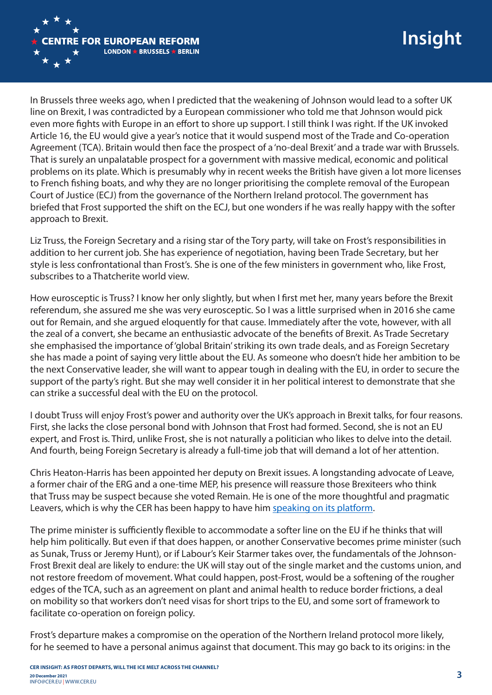

In Brussels three weeks ago, when I predicted that the weakening of Johnson would lead to a softer UK line on Brexit, I was contradicted by a European commissioner who told me that Johnson would pick even more fights with Europe in an effort to shore up support. I still think I was right. If the UK invoked Article 16, the EU would give a year's notice that it would suspend most of the Trade and Co-operation Agreement (TCA). Britain would then face the prospect of a 'no-deal Brexit' and a trade war with Brussels. That is surely an unpalatable prospect for a government with massive medical, economic and political problems on its plate. Which is presumably why in recent weeks the British have given a lot more licenses to French fishing boats, and why they are no longer prioritising the complete removal of the European Court of Justice (ECJ) from the governance of the Northern Ireland protocol. The government has briefed that Frost supported the shift on the ECJ, but one wonders if he was really happy with the softer approach to Brexit.

Liz Truss, the Foreign Secretary and a rising star of the Tory party, will take on Frost's responsibilities in addition to her current job. She has experience of negotiation, having been Trade Secretary, but her style is less confrontational than Frost's. She is one of the few ministers in government who, like Frost, subscribes to a Thatcherite world view.

How eurosceptic is Truss? I know her only slightly, but when I first met her, many years before the Brexit referendum, she assured me she was very eurosceptic. So I was a little surprised when in 2016 she came out for Remain, and she argued eloquently for that cause. Immediately after the vote, however, with all the zeal of a convert, she became an enthusiastic advocate of the benefits of Brexit. As Trade Secretary she emphasised the importance of 'global Britain' striking its own trade deals, and as Foreign Secretary she has made a point of saying very little about the EU. As someone who doesn't hide her ambition to be the next Conservative leader, she will want to appear tough in dealing with the EU, in order to secure the support of the party's right. But she may well consider it in her political interest to demonstrate that she can strike a successful deal with the EU on the protocol.

I doubt Truss will enjoy Frost's power and authority over the UK's approach in Brexit talks, for four reasons. First, she lacks the close personal bond with Johnson that Frost had formed. Second, she is not an EU expert, and Frost is. Third, unlike Frost, she is not naturally a politician who likes to delve into the detail. And fourth, being Foreign Secretary is already a full-time job that will demand a lot of her attention.

Chris Heaton-Harris has been appointed her deputy on Brexit issues. A longstanding advocate of Leave, a former chair of the ERG and a one-time MEP, his presence will reassure those Brexiteers who think that Truss may be suspect because she voted Remain. He is one of the more thoughtful and pragmatic Leavers, which is why the CER has been happy to have him speaking on its platform.

The prime minister is sufficiently flexible to accommodate a softer line on the EU if he thinks that will help him politically. But even if that does happen, or another Conservative becomes prime minister (such as Sunak, Truss or Jeremy Hunt), or if Labour's Keir Starmer takes over, the fundamentals of the Johnson-Frost Brexit deal are likely to endure: the UK will stay out of the single market and the customs union, and not restore freedom of movement. What could happen, post-Frost, would be a softening of the rougher edges of the TCA, such as an agreement on plant and animal health to reduce border frictions, a deal on mobility so that workers don't need visas for short trips to the EU, and some sort of framework to facilitate co-operation on foreign policy.

Frost's departure makes a compromise on the operation of the Northern Ireland protocol more likely, for he seemed to have a personal animus against that document. This may go back to its origins: in the